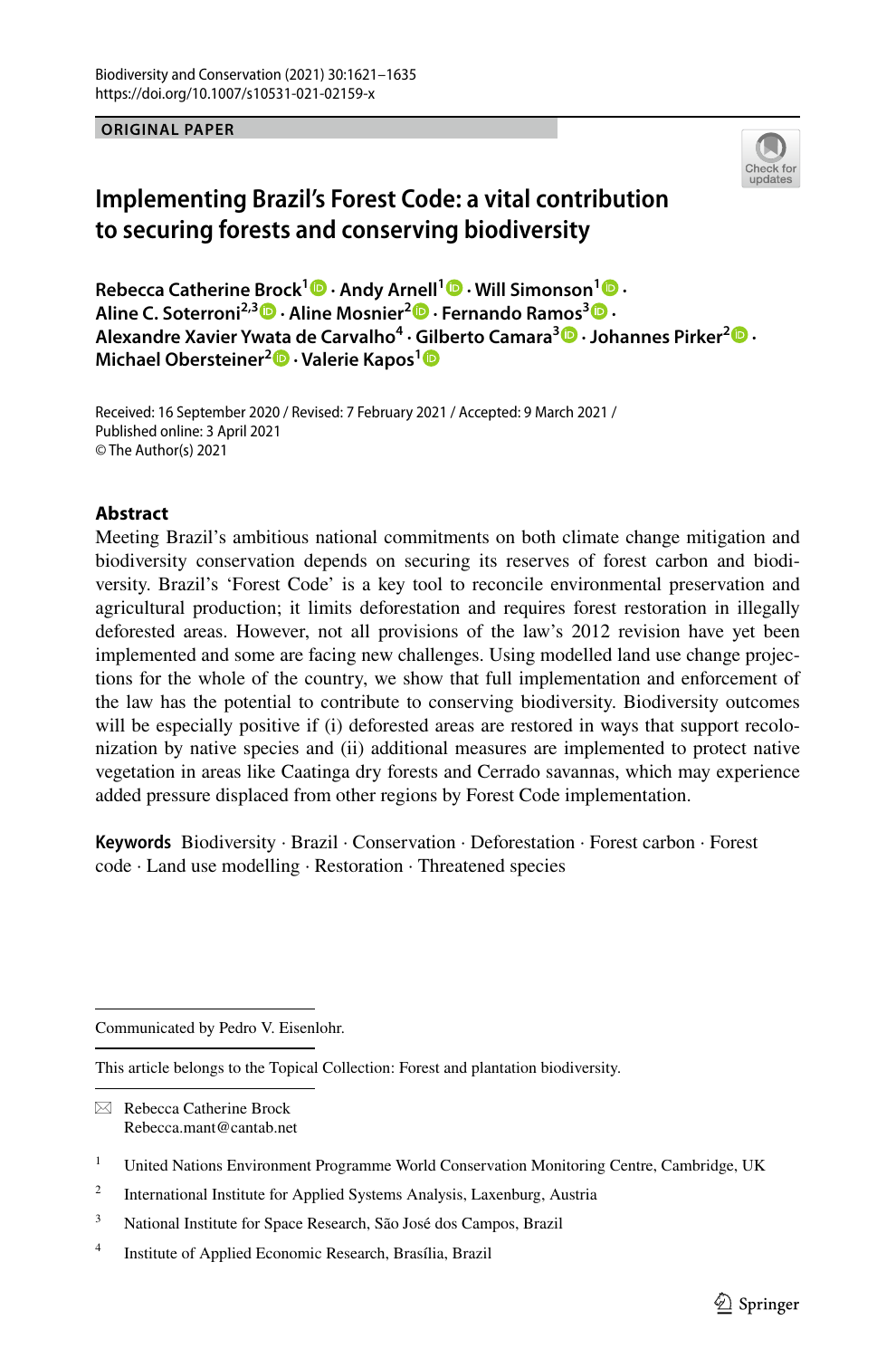**ORIGINAL PAPER**



# **Implementing Brazil's Forest Code: a vital contribution to securing forests and conserving biodiversity**

**Rebecca Catherine Brock[1](http://orcid.org/0000-0002-4868-6377) · Andy Arnell1 · Will Simonson1  [·](http://orcid.org/0000-0001-5795-6802) Aline C. Soterroni2,3  [·](http://orcid.org/0000-0003-3113-096X) Aline Mosnier2  [·](http://orcid.org/0000-0001-8566-1593) Fernando Ramos3 · Alexandre Xavier Ywata de Carvalho<sup>4</sup> · Gilberto Camara[3](http://orcid.org/0000-0002-3681-487X) · Johannes Pirker2 · Michael Obersteiner2 · Valerie Kapos[1](http://orcid.org/0000-0002-5739-8262)**

Received: 16 September 2020 / Revised: 7 February 2021 / Accepted: 9 March 2021 / Published online: 3 April 2021 © The Author(s) 2021

# **Abstract**

Meeting Brazil's ambitious national commitments on both climate change mitigation and biodiversity conservation depends on securing its reserves of forest carbon and biodiversity. Brazil's 'Forest Code' is a key tool to reconcile environmental preservation and agricultural production; it limits deforestation and requires forest restoration in illegally deforested areas. However, not all provisions of the law's 2012 revision have yet been implemented and some are facing new challenges. Using modelled land use change projections for the whole of the country, we show that full implementation and enforcement of the law has the potential to contribute to conserving biodiversity. Biodiversity outcomes will be especially positive if (i) deforested areas are restored in ways that support recolonization by native species and (ii) additional measures are implemented to protect native vegetation in areas like Caatinga dry forests and Cerrado savannas, which may experience added pressure displaced from other regions by Forest Code implementation.

**Keywords** Biodiversity · Brazil · Conservation · Deforestation · Forest carbon · Forest code · Land use modelling · Restoration · Threatened species

Communicated by Pedro V. Eisenlohr.

This article belongs to the Topical Collection: Forest and plantation biodiversity.

 $\boxtimes$  Rebecca Catherine Brock Rebecca.mant@cantab.net

<sup>2</sup> International Institute for Applied Systems Analysis, Laxenburg, Austria

<sup>3</sup> National Institute for Space Research, São José dos Campos, Brazil

<sup>4</sup> Institute of Applied Economic Research, Brasília, Brazil

<sup>&</sup>lt;sup>1</sup> United Nations Environment Programme World Conservation Monitoring Centre, Cambridge, UK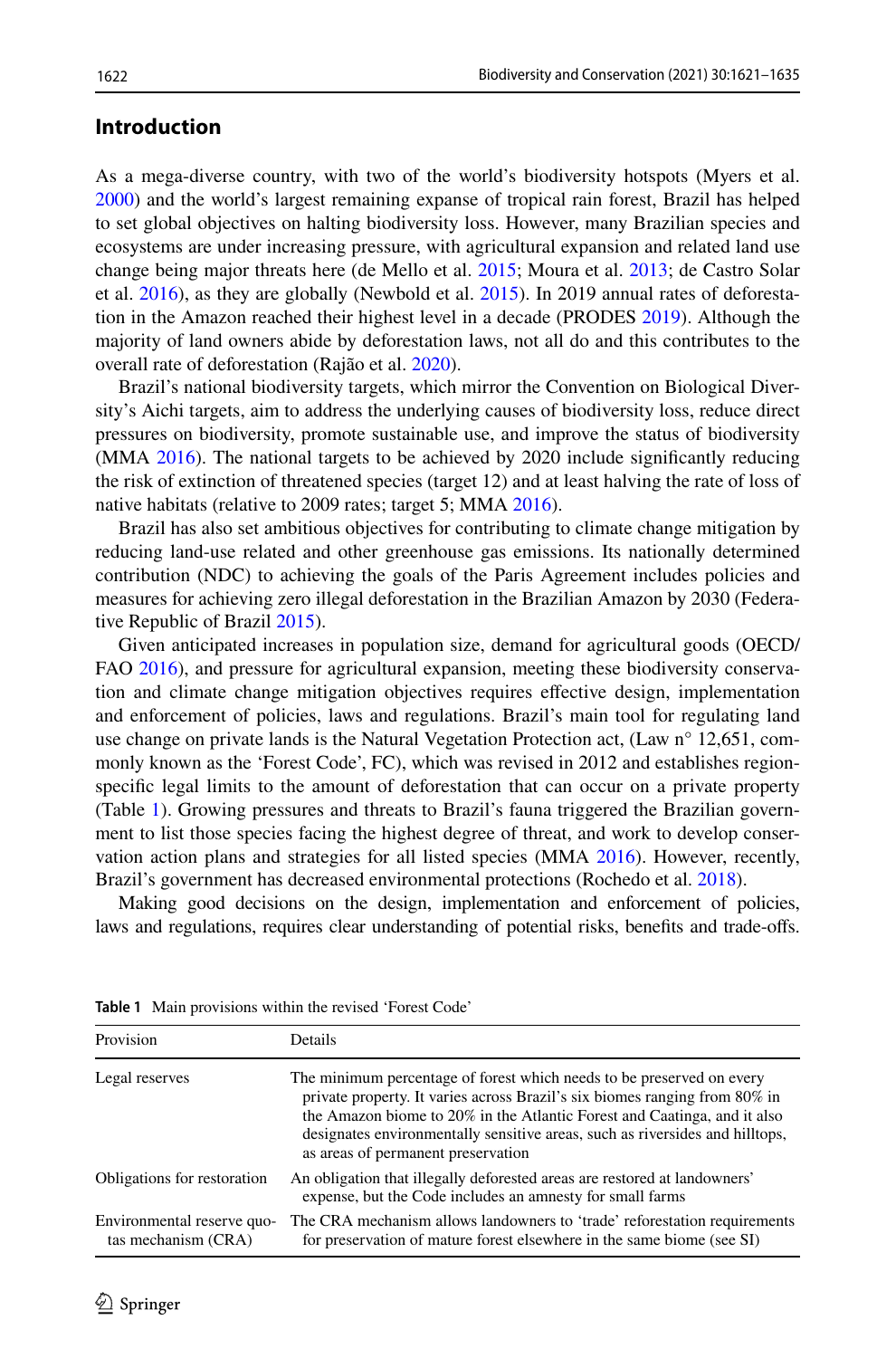# **Introduction**

As a mega-diverse country, with two of the world's biodiversity hotspots (Myers et al. [2000\)](#page-13-0) and the world's largest remaining expanse of tropical rain forest, Brazil has helped to set global objectives on halting biodiversity loss. However, many Brazilian species and ecosystems are under increasing pressure, with agricultural expansion and related land use change being major threats here (de Mello et al. [2015;](#page-12-0) Moura et al. [2013;](#page-13-1) de Castro Solar et al. [2016](#page-12-1)), as they are globally (Newbold et al. [2015\)](#page-13-2). In 2019 annual rates of deforestation in the Amazon reached their highest level in a decade (PRODES [2019](#page-13-3)). Although the majority of land owners abide by deforestation laws, not all do and this contributes to the overall rate of deforestation (Rajão et al. [2020\)](#page-13-4).

Brazil's national biodiversity targets, which mirror the Convention on Biological Diversity's Aichi targets, aim to address the underlying causes of biodiversity loss, reduce direct pressures on biodiversity, promote sustainable use, and improve the status of biodiversity (MMA [2016\)](#page-13-5). The national targets to be achieved by 2020 include signifcantly reducing the risk of extinction of threatened species (target 12) and at least halving the rate of loss of native habitats (relative to 2009 rates; target 5; MMA [2016\)](#page-13-5).

Brazil has also set ambitious objectives for contributing to climate change mitigation by reducing land-use related and other greenhouse gas emissions. Its nationally determined contribution (NDC) to achieving the goals of the Paris Agreement includes policies and measures for achieving zero illegal deforestation in the Brazilian Amazon by 2030 (Federative Republic of Brazil [2015\)](#page-12-2).

Given anticipated increases in population size, demand for agricultural goods (OECD/ FAO [2016](#page-13-6)), and pressure for agricultural expansion, meeting these biodiversity conservation and climate change mitigation objectives requires efective design, implementation and enforcement of policies, laws and regulations. Brazil's main tool for regulating land use change on private lands is the Natural Vegetation Protection act, (Law n° 12,651, commonly known as the 'Forest Code', FC), which was revised in 2012 and establishes regionspecifc legal limits to the amount of deforestation that can occur on a private property (Table [1\)](#page-1-0). Growing pressures and threats to Brazil's fauna triggered the Brazilian government to list those species facing the highest degree of threat, and work to develop conservation action plans and strategies for all listed species (MMA [2016\)](#page-13-5). However, recently, Brazil's government has decreased environmental protections (Rochedo et al. [2018](#page-13-7)).

Making good decisions on the design, implementation and enforcement of policies, laws and regulations, requires clear understanding of potential risks, benefts and trade-ofs.

| Provision                                         | <b>Details</b>                                                                                                                                                                                                                                                                                                                                        |
|---------------------------------------------------|-------------------------------------------------------------------------------------------------------------------------------------------------------------------------------------------------------------------------------------------------------------------------------------------------------------------------------------------------------|
| Legal reserves                                    | The minimum percentage of forest which needs to be preserved on every<br>private property. It varies across Brazil's six biomes ranging from 80% in<br>the Amazon biome to 20% in the Atlantic Forest and Caatinga, and it also<br>designates environmentally sensitive areas, such as riversides and hilltops,<br>as areas of permanent preservation |
| Obligations for restoration                       | An obligation that illegally deforested areas are restored at landowners'<br>expense, but the Code includes an amnesty for small farms                                                                                                                                                                                                                |
| Environmental reserve quo-<br>tas mechanism (CRA) | The CRA mechanism allows landowners to 'trade' reforestation requirements<br>for preservation of mature forest elsewhere in the same biome (see SI)                                                                                                                                                                                                   |

<span id="page-1-0"></span>**Table 1** Main provisions within the revised 'Forest Code'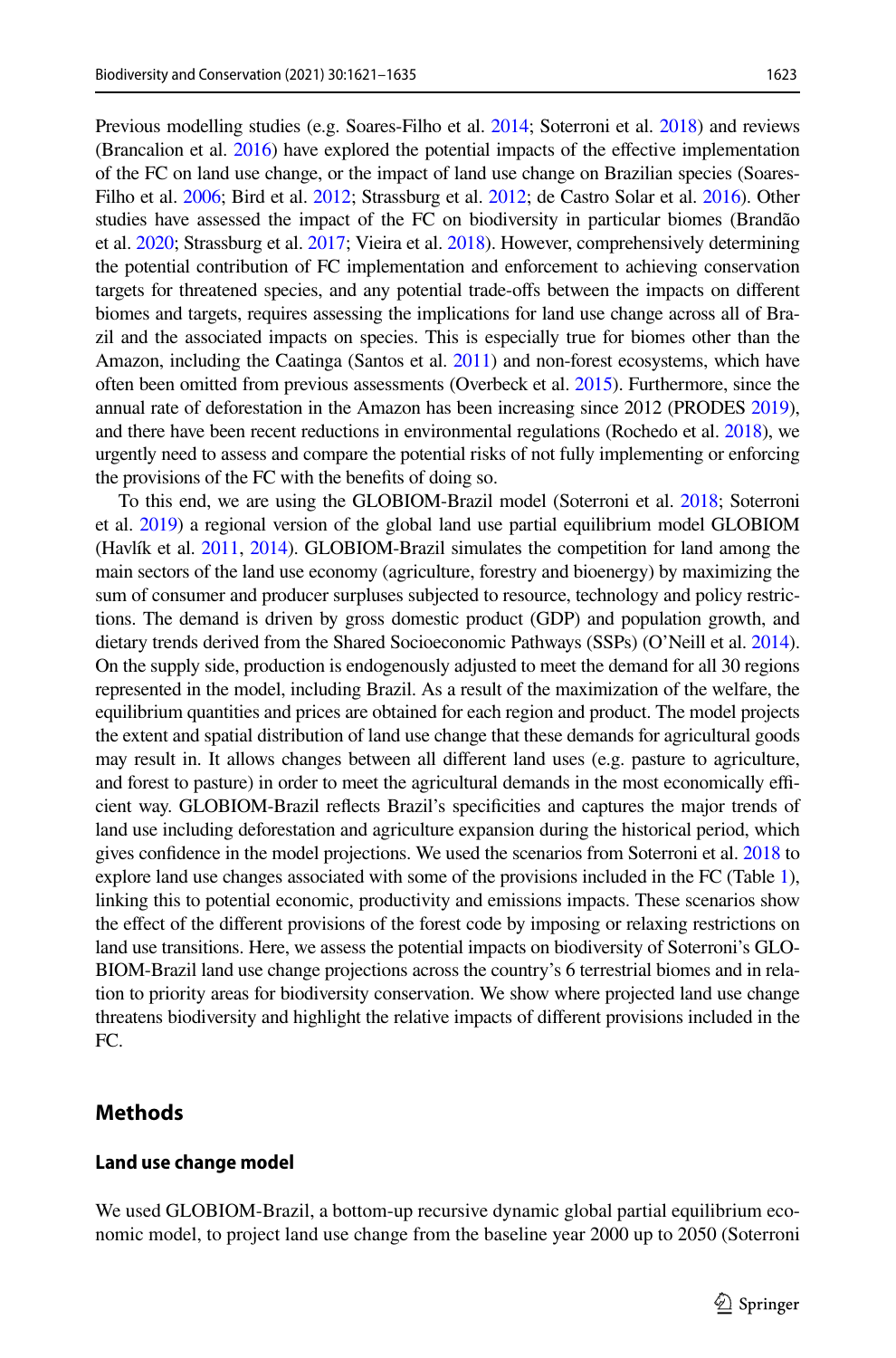Previous modelling studies (e.g. Soares-Filho et al. [2014](#page-13-8); Soterroni et al. [2018](#page-13-9)) and reviews (Brancalion et al. [2016](#page-12-3)) have explored the potential impacts of the efective implementation of the FC on land use change, or the impact of land use change on Brazilian species (Soares-Filho et al. [2006](#page-13-10); Bird et al. [2012](#page-12-4); Strassburg et al. [2012](#page-13-11); de Castro Solar et al. [2016](#page-12-1)). Other studies have assessed the impact of the FC on biodiversity in particular biomes (Brandão et al. [2020](#page-12-5); Strassburg et al. [2017;](#page-13-12) Vieira et al. [2018](#page-13-13)). However, comprehensively determining the potential contribution of FC implementation and enforcement to achieving conservation targets for threatened species, and any potential trade-ofs between the impacts on diferent biomes and targets, requires assessing the implications for land use change across all of Brazil and the associated impacts on species. This is especially true for biomes other than the Amazon, including the Caatinga (Santos et al. [2011\)](#page-13-14) and non-forest ecosystems, which have often been omitted from previous assessments (Overbeck et al. [2015\)](#page-13-15). Furthermore, since the annual rate of deforestation in the Amazon has been increasing since 2012 (PRODES [2019](#page-13-3)), and there have been recent reductions in environmental regulations (Rochedo et al. [2018\)](#page-13-7), we urgently need to assess and compare the potential risks of not fully implementing or enforcing the provisions of the FC with the benefts of doing so.

To this end, we are using the GLOBIOM-Brazil model (Soterroni et al. [2018](#page-13-9); Soterroni et al. [2019](#page-13-16)) a regional version of the global land use partial equilibrium model GLOBIOM (Havlík et al. [2011](#page-12-6), [2014](#page-12-7)). GLOBIOM-Brazil simulates the competition for land among the main sectors of the land use economy (agriculture, forestry and bioenergy) by maximizing the sum of consumer and producer surpluses subjected to resource, technology and policy restrictions. The demand is driven by gross domestic product (GDP) and population growth, and dietary trends derived from the Shared Socioeconomic Pathways (SSPs) (O'Neill et al. [2014](#page-13-17)). On the supply side, production is endogenously adjusted to meet the demand for all 30 regions represented in the model, including Brazil. As a result of the maximization of the welfare, the equilibrium quantities and prices are obtained for each region and product. The model projects the extent and spatial distribution of land use change that these demands for agricultural goods may result in. It allows changes between all diferent land uses (e.g. pasture to agriculture, and forest to pasture) in order to meet the agricultural demands in the most economically efficient way. GLOBIOM-Brazil refects Brazil's specifcities and captures the major trends of land use including deforestation and agriculture expansion during the historical period, which gives confdence in the model projections. We used the scenarios from Soterroni et al. [2018](#page-13-9) to explore land use changes associated with some of the provisions included in the FC (Table [1](#page-1-0)), linking this to potential economic, productivity and emissions impacts. These scenarios show the efect of the diferent provisions of the forest code by imposing or relaxing restrictions on land use transitions. Here, we assess the potential impacts on biodiversity of Soterroni's GLO-BIOM-Brazil land use change projections across the country's 6 terrestrial biomes and in relation to priority areas for biodiversity conservation. We show where projected land use change threatens biodiversity and highlight the relative impacts of diferent provisions included in the FC.

# **Methods**

#### **Land use change model**

We used GLOBIOM-Brazil, a bottom-up recursive dynamic global partial equilibrium economic model, to project land use change from the baseline year 2000 up to 2050 (Soterroni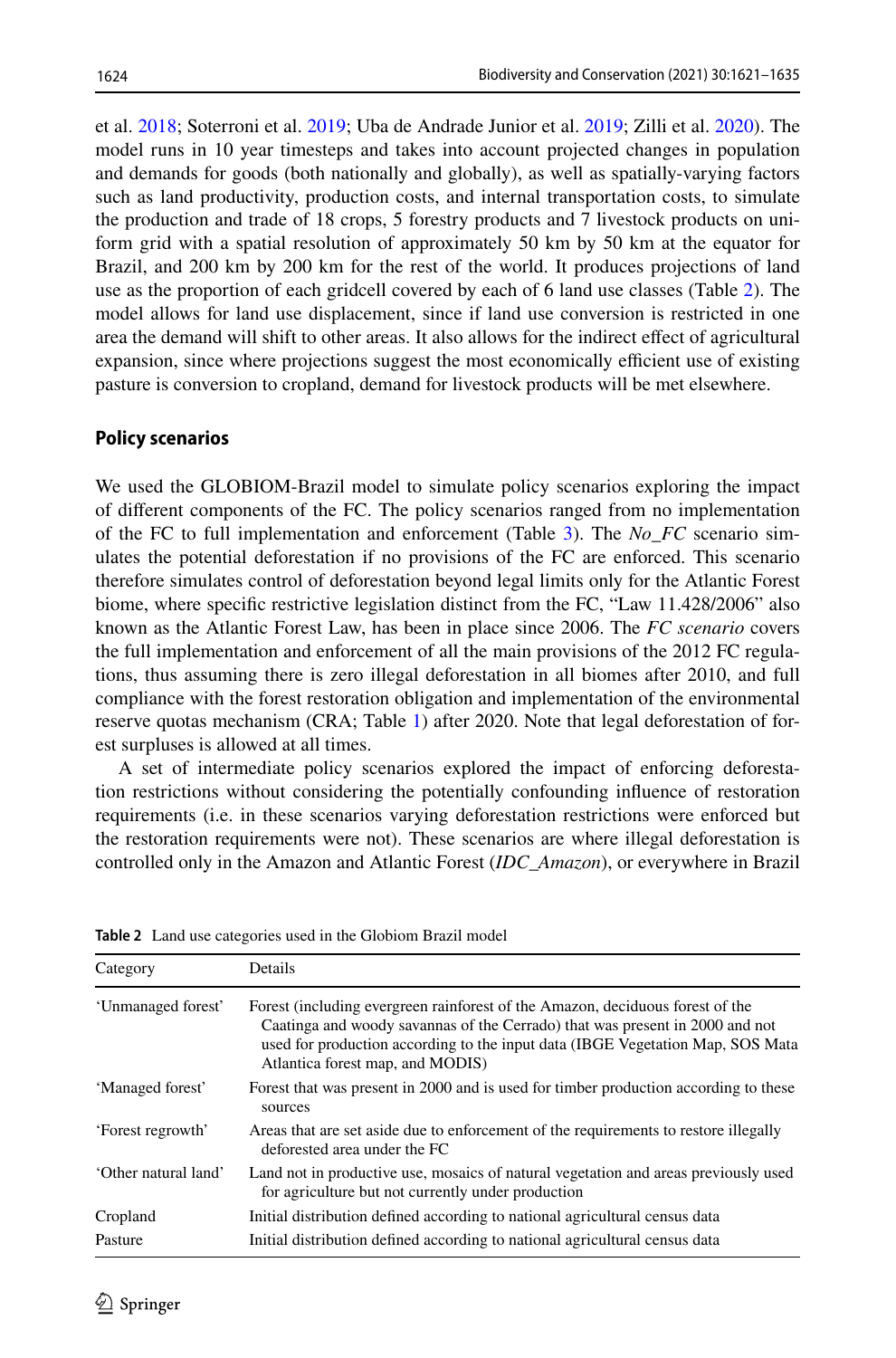et al. [2018;](#page-13-9) Soterroni et al. [2019;](#page-13-16) Uba de Andrade Junior et al. [2019;](#page-13-18) Zilli et al. [2020\)](#page-13-19). The model runs in 10 year timesteps and takes into account projected changes in population and demands for goods (both nationally and globally), as well as spatially-varying factors such as land productivity, production costs, and internal transportation costs, to simulate the production and trade of 18 crops, 5 forestry products and 7 livestock products on uniform grid with a spatial resolution of approximately 50 km by 50 km at the equator for Brazil, and 200 km by 200 km for the rest of the world. It produces projections of land use as the proportion of each gridcell covered by each of 6 land use classes (Table [2\)](#page-3-0). The model allows for land use displacement, since if land use conversion is restricted in one area the demand will shift to other areas. It also allows for the indirect efect of agricultural expansion, since where projections suggest the most economically efficient use of existing pasture is conversion to cropland, demand for livestock products will be met elsewhere.

#### **Policy scenarios**

We used the GLOBIOM-Brazil model to simulate policy scenarios exploring the impact of diferent components of the FC. The policy scenarios ranged from no implementation of the FC to full implementation and enforcement (Table [3](#page-4-0)). The *No*\_*FC* scenario simulates the potential deforestation if no provisions of the FC are enforced. This scenario therefore simulates control of deforestation beyond legal limits only for the Atlantic Forest biome, where specifc restrictive legislation distinct from the FC, "Law 11.428/2006" also known as the Atlantic Forest Law, has been in place since 2006. The *FC scenario* covers the full implementation and enforcement of all the main provisions of the 2012 FC regulations, thus assuming there is zero illegal deforestation in all biomes after 2010, and full compliance with the forest restoration obligation and implementation of the environmental reserve quotas mechanism (CRA; Table [1\)](#page-1-0) after 2020. Note that legal deforestation of forest surpluses is allowed at all times.

A set of intermediate policy scenarios explored the impact of enforcing deforestation restrictions without considering the potentially confounding infuence of restoration requirements (i.e. in these scenarios varying deforestation restrictions were enforced but the restoration requirements were not). These scenarios are where illegal deforestation is controlled only in the Amazon and Atlantic Forest (*IDC\_Amazon*), or everywhere in Brazil

| Category             | Details                                                                                                                                                                                                                                                                             |
|----------------------|-------------------------------------------------------------------------------------------------------------------------------------------------------------------------------------------------------------------------------------------------------------------------------------|
| 'Unmanaged forest'   | Forest (including evergreen rainforest of the Amazon, deciduous forest of the<br>Caatinga and woody savannas of the Cerrado) that was present in 2000 and not<br>used for production according to the input data (IBGE Vegetation Map, SOS Mata<br>Atlantica forest map, and MODIS) |
| 'Managed forest'     | Forest that was present in 2000 and is used for timber production according to these<br>sources                                                                                                                                                                                     |
| 'Forest regrowth'    | Areas that are set aside due to enforcement of the requirements to restore illegally<br>deforested area under the FC                                                                                                                                                                |
| 'Other natural land' | Land not in productive use, mosaics of natural vegetation and areas previously used<br>for agriculture but not currently under production                                                                                                                                           |
| Cropland             | Initial distribution defined according to national agricultural census data                                                                                                                                                                                                         |
| Pasture              | Initial distribution defined according to national agricultural census data                                                                                                                                                                                                         |

<span id="page-3-0"></span>**Table 2** Land use categories used in the Globiom Brazil model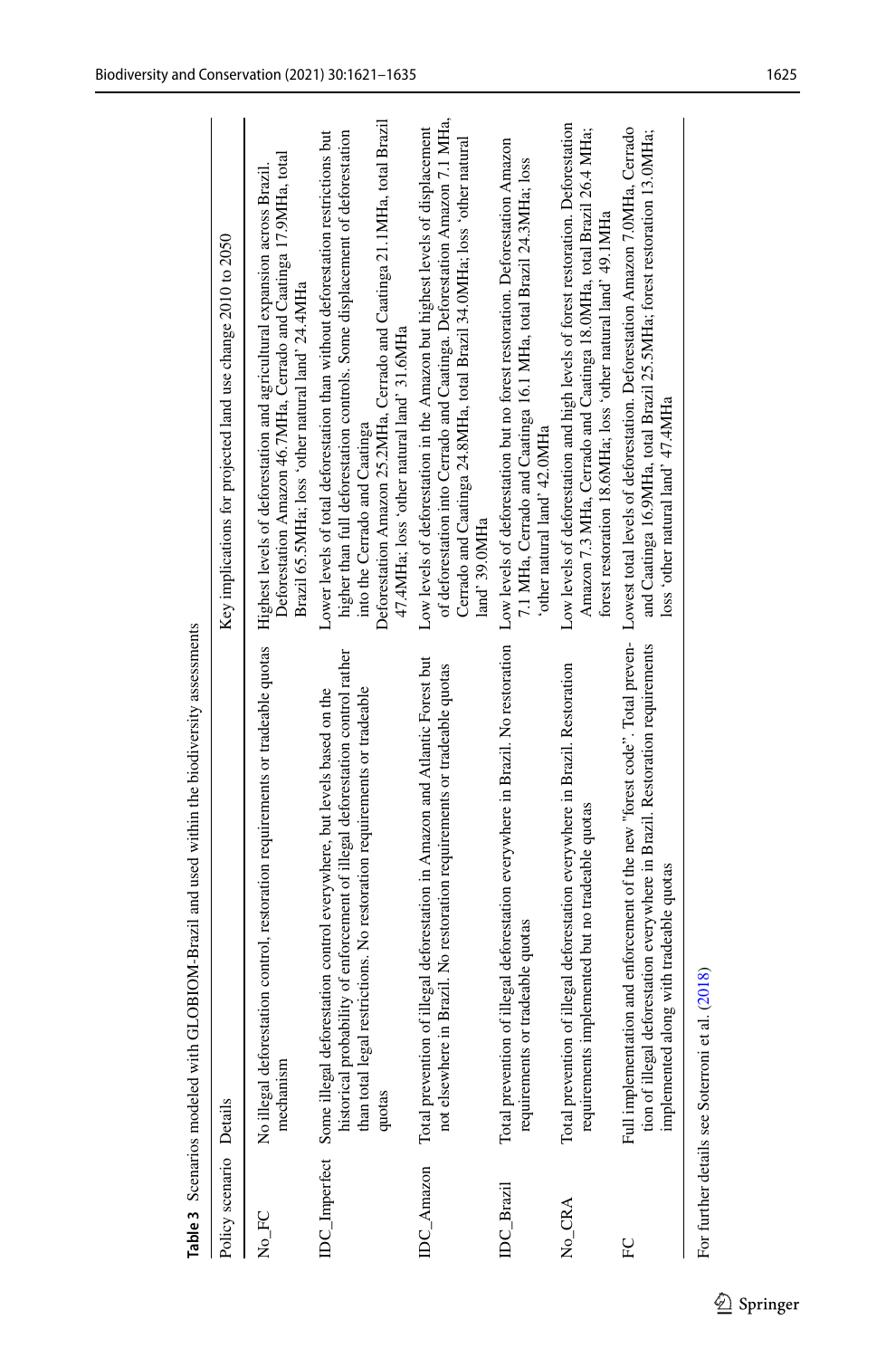|                         | LOBIOM-Brazil and used within the biodiversity assessments<br>Table 3 Scenarios modeled with Gl                                                                                                                                                           |                                                                                                                                                                                                                                                                                                                           |
|-------------------------|-----------------------------------------------------------------------------------------------------------------------------------------------------------------------------------------------------------------------------------------------------------|---------------------------------------------------------------------------------------------------------------------------------------------------------------------------------------------------------------------------------------------------------------------------------------------------------------------------|
| Policy scenario Details |                                                                                                                                                                                                                                                           | Key implications for projected land use change 2010 to 2050                                                                                                                                                                                                                                                               |
| No_FC                   | No illegal deforestation control, restoration requirements or tradeable quotas<br>mechanism                                                                                                                                                               | Deforestation Amazon 46.7MHa, Cerrado and Caatinga 17.9MHa, total<br>Highest levels of deforestation and agricultural expansion across Brazil.<br>Brazil 65.5MHa; loss 'other natural land' 24.4MHa                                                                                                                       |
|                         | historical probability of enforcement of illegal deforestation control rather<br>than total legal restrictions. No restoration requirements or tradeable<br>DC_Imperfect Some illegal deforestation control everywhere, but levels based on the<br>quotas | Deforestation Amazon 25.2MHa, Cerrado and Caatinga 21.1MHa, total Brazil<br>higher than full deforestation controls. Some displacement of deforestation<br>Lower levels of total deforestation than without deforestation restrictions but<br>47.4MHa; loss 'other natural land' 31.6MHa<br>into the Cerrado and Caatinga |
| DC_Amazon               | Total prevention of illegal deforestation in Amazon and Atlantic Forest but<br>Brazil. No restoration requirements or tradeable quotas<br>not elsewhere in                                                                                                | of deforestation into Cerrado and Caatinga. Deforestation Amazon 7.1 MHa.<br>Low levels of deforestation in the Amazon but highest levels of displacement<br>Cerrado and Caatinga 24.8MHa, total Brazil 34.0MHa; loss 'other natural<br>land' 39.0MHa                                                                     |
| DC Brazil               | Total prevention of illegal deforestation everywhere in Brazil. No restoration<br>tradeable quotas<br>requirements or                                                                                                                                     | Low levels of deforestation but no forest restoration. Deforestation Amazon<br>7.1 MHa, Cerrado and Caatinga 16.1 MHa, total Brazil 24.3MHa; loss<br>other natural land' 42.0MHa'                                                                                                                                         |
| $No_C CRA$              | Total prevention of illegal deforestation everywhere in Brazil. Restoration<br>plemented but no tradeable quotas<br>requirements im                                                                                                                       | Low levels of deforestation and high levels of forest restoration. Deforestation<br>Amazon 7.3 MHa, Cerrado and Caatinga 18.0MHa, total Brazil 26.4 MHa;<br>forest restoration 18.6MHa; loss 'other natural land' 49.1MHa                                                                                                 |
| FC                      | Full implementation and enforcement of the new "forest code". Total preven-<br>tion of illegal deforestation everywhere in Brazil. Restoration requirements<br>implemented along with tradeable quotas                                                    | Lowest total levels of deforestation. Deforestation Amazon 7.0MHa, Cerrado<br>and Caatinga 16.9MHa, total Brazil 25.5MHa; forest restoration 13.0MHa;<br>loss 'other natural land' 47.4MHa                                                                                                                                |
|                         |                                                                                                                                                                                                                                                           |                                                                                                                                                                                                                                                                                                                           |

<span id="page-4-0"></span>For further details see Soterroni et al.  $\left( 2018\right)$ For further details see Soterroni et al. ([2018](#page-13-9))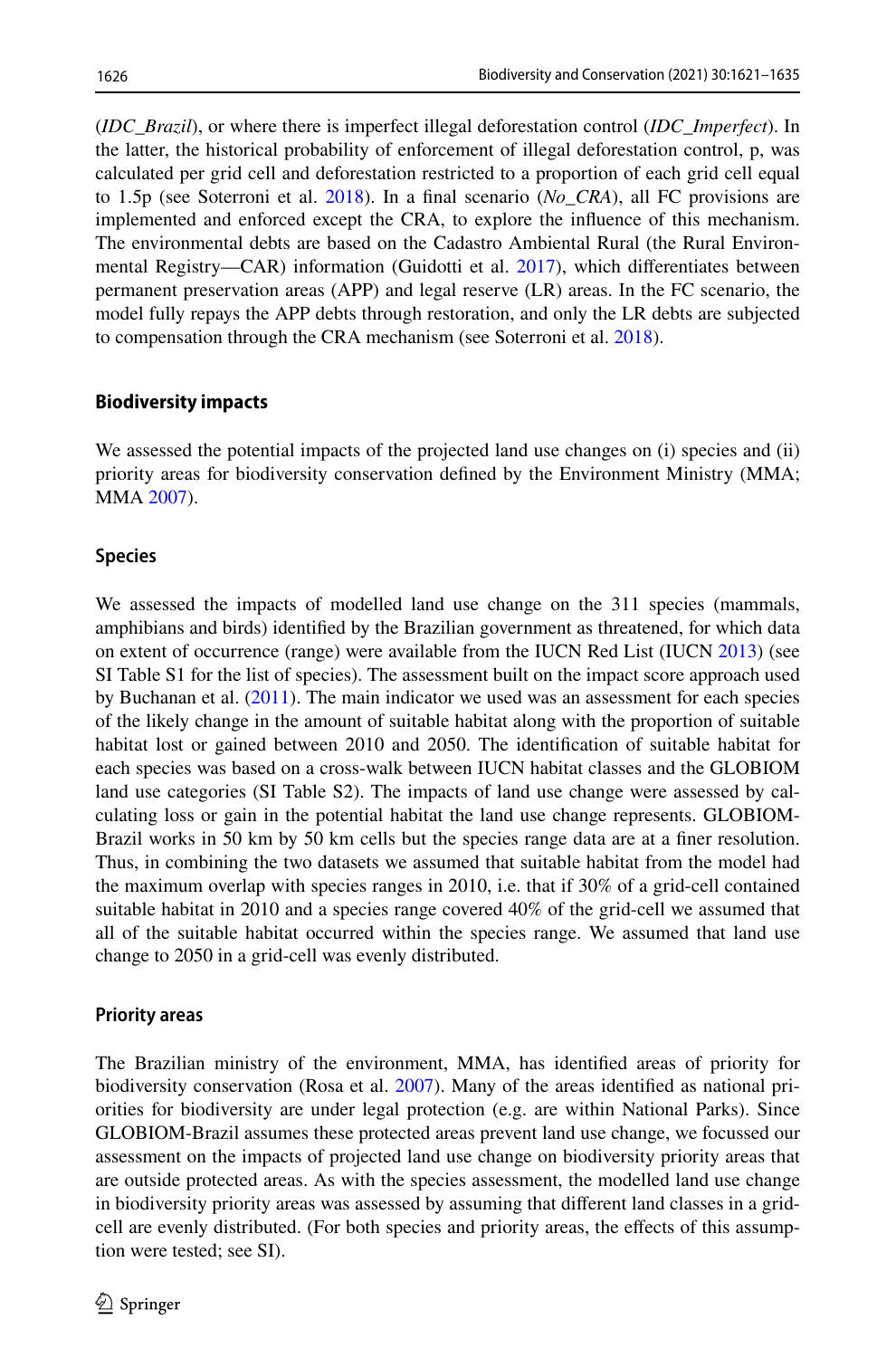(*IDC\_Brazil*), or where there is imperfect illegal deforestation control (*IDC\_Imperfect*). In the latter, the historical probability of enforcement of illegal deforestation control, p, was calculated per grid cell and deforestation restricted to a proportion of each grid cell equal to 1.5p (see Soterroni et al. [2018\)](#page-13-9). In a fnal scenario (*No\_CRA*), all FC provisions are implemented and enforced except the CRA, to explore the infuence of this mechanism. The environmental debts are based on the Cadastro Ambiental Rural (the Rural Environmental Registry—CAR) information (Guidotti et al. [2017\)](#page-12-8), which diferentiates between permanent preservation areas (APP) and legal reserve (LR) areas. In the FC scenario, the model fully repays the APP debts through restoration, and only the LR debts are subjected to compensation through the CRA mechanism (see Soterroni et al. [2018](#page-13-9)).

## **Biodiversity impacts**

We assessed the potential impacts of the projected land use changes on (i) species and (ii) priority areas for biodiversity conservation defned by the Environment Ministry (MMA; MMA [2007\)](#page-13-20).

## **Species**

We assessed the impacts of modelled land use change on the 311 species (mammals, amphibians and birds) identifed by the Brazilian government as threatened, for which data on extent of occurrence (range) were available from the IUCN Red List (IUCN [2013](#page-12-9)) (see SI Table S1 for the list of species). The assessment built on the impact score approach used by Buchanan et al. [\(2011](#page-12-10)). The main indicator we used was an assessment for each species of the likely change in the amount of suitable habitat along with the proportion of suitable habitat lost or gained between 2010 and 2050. The identifcation of suitable habitat for each species was based on a cross-walk between IUCN habitat classes and the GLOBIOM land use categories (SI Table S2). The impacts of land use change were assessed by calculating loss or gain in the potential habitat the land use change represents. GLOBIOM-Brazil works in 50 km by 50 km cells but the species range data are at a finer resolution. Thus, in combining the two datasets we assumed that suitable habitat from the model had the maximum overlap with species ranges in 2010, i.e. that if 30% of a grid-cell contained suitable habitat in 2010 and a species range covered 40% of the grid-cell we assumed that all of the suitable habitat occurred within the species range. We assumed that land use change to 2050 in a grid-cell was evenly distributed.

#### **Priority areas**

The Brazilian ministry of the environment, MMA, has identifed areas of priority for biodiversity conservation (Rosa et al. [2007\)](#page-13-21). Many of the areas identifed as national priorities for biodiversity are under legal protection (e.g. are within National Parks). Since GLOBIOM-Brazil assumes these protected areas prevent land use change, we focussed our assessment on the impacts of projected land use change on biodiversity priority areas that are outside protected areas. As with the species assessment, the modelled land use change in biodiversity priority areas was assessed by assuming that diferent land classes in a gridcell are evenly distributed. (For both species and priority areas, the efects of this assumption were tested; see SI).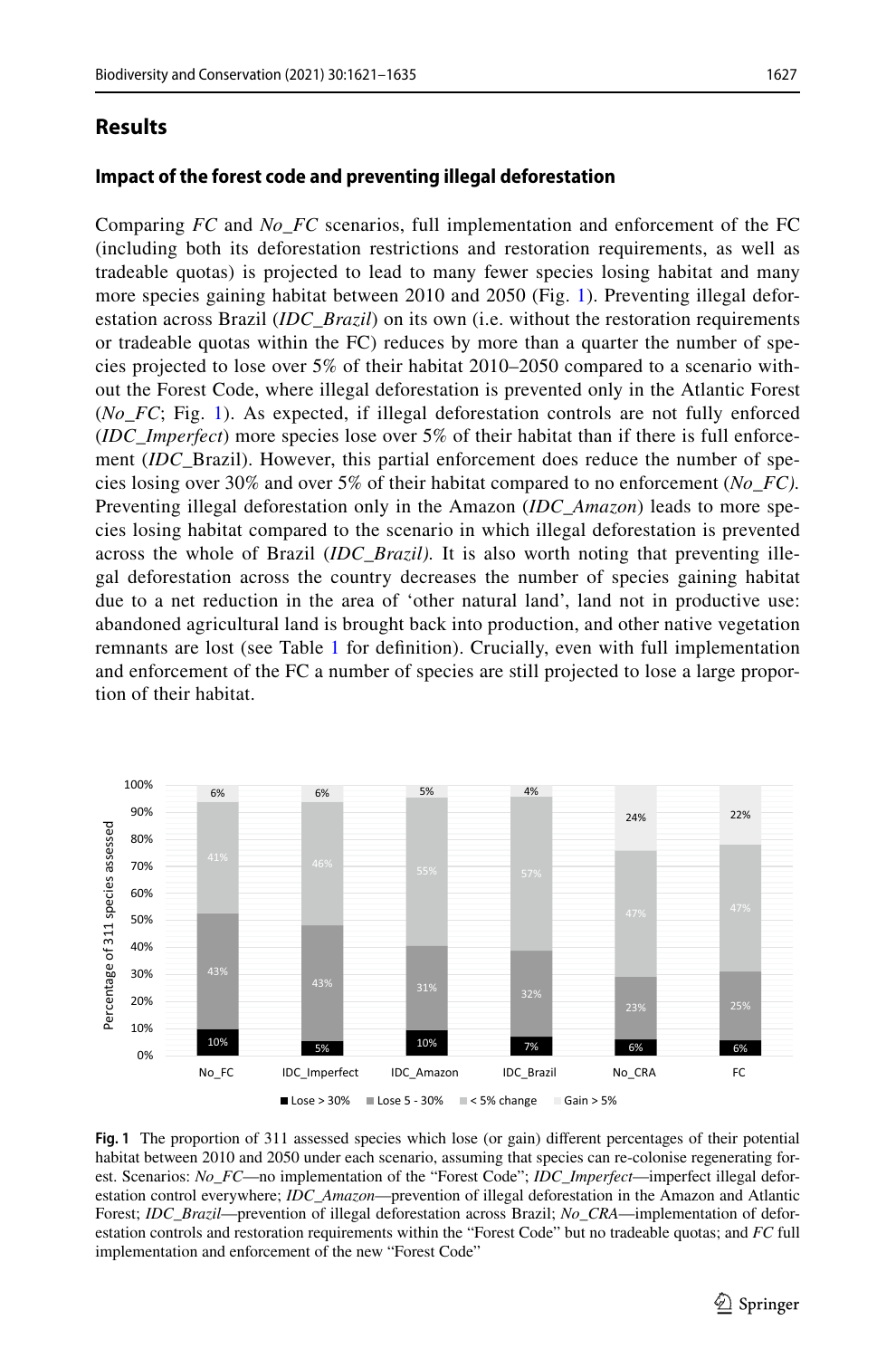# **Results**

Comparing *FC* and *No\_FC* scenarios, full implementation and enforcement of the FC (including both its deforestation restrictions and restoration requirements, as well as tradeable quotas) is projected to lead to many fewer species losing habitat and many more species gaining habitat between 2010 and 2050 (Fig. [1\)](#page-6-0). Preventing illegal deforestation across Brazil (*IDC\_Brazil*) on its own (i.e. without the restoration requirements or tradeable quotas within the FC) reduces by more than a quarter the number of species projected to lose over 5% of their habitat 2010–2050 compared to a scenario without the Forest Code, where illegal deforestation is prevented only in the Atlantic Forest (*No\_FC*; Fig. [1\)](#page-6-0). As expected, if illegal deforestation controls are not fully enforced (*IDC\_Imperfect*) more species lose over 5% of their habitat than if there is full enforcement (*IDC\_*Brazil). However, this partial enforcement does reduce the number of species losing over 30% and over 5% of their habitat compared to no enforcement (*No\_FC).* Preventing illegal deforestation only in the Amazon (*IDC\_Amazon*) leads to more species losing habitat compared to the scenario in which illegal deforestation is prevented across the whole of Brazil (*IDC\_Brazil).* It is also worth noting that preventing illegal deforestation across the country decreases the number of species gaining habitat due to a net reduction in the area of 'other natural land', land not in productive use: abandoned agricultural land is brought back into production, and other native vegetation remnants are lost (see Table [1](#page-1-0) for defnition). Crucially, even with full implementation and enforcement of the FC a number of species are still projected to lose a large proportion of their habitat.



<span id="page-6-0"></span>**Fig. 1** The proportion of 311 assessed species which lose (or gain) diferent percentages of their potential habitat between 2010 and 2050 under each scenario, assuming that species can re-colonise regenerating forest. Scenarios: *No\_FC*—no implementation of the "Forest Code"; *IDC\_Imperfect*—imperfect illegal deforestation control everywhere; *IDC\_Amazon*—prevention of illegal deforestation in the Amazon and Atlantic Forest; *IDC\_Brazil*—prevention of illegal deforestation across Brazil; *No\_CRA*—implementation of deforestation controls and restoration requirements within the "Forest Code" but no tradeable quotas; and *FC* full implementation and enforcement of the new "Forest Code"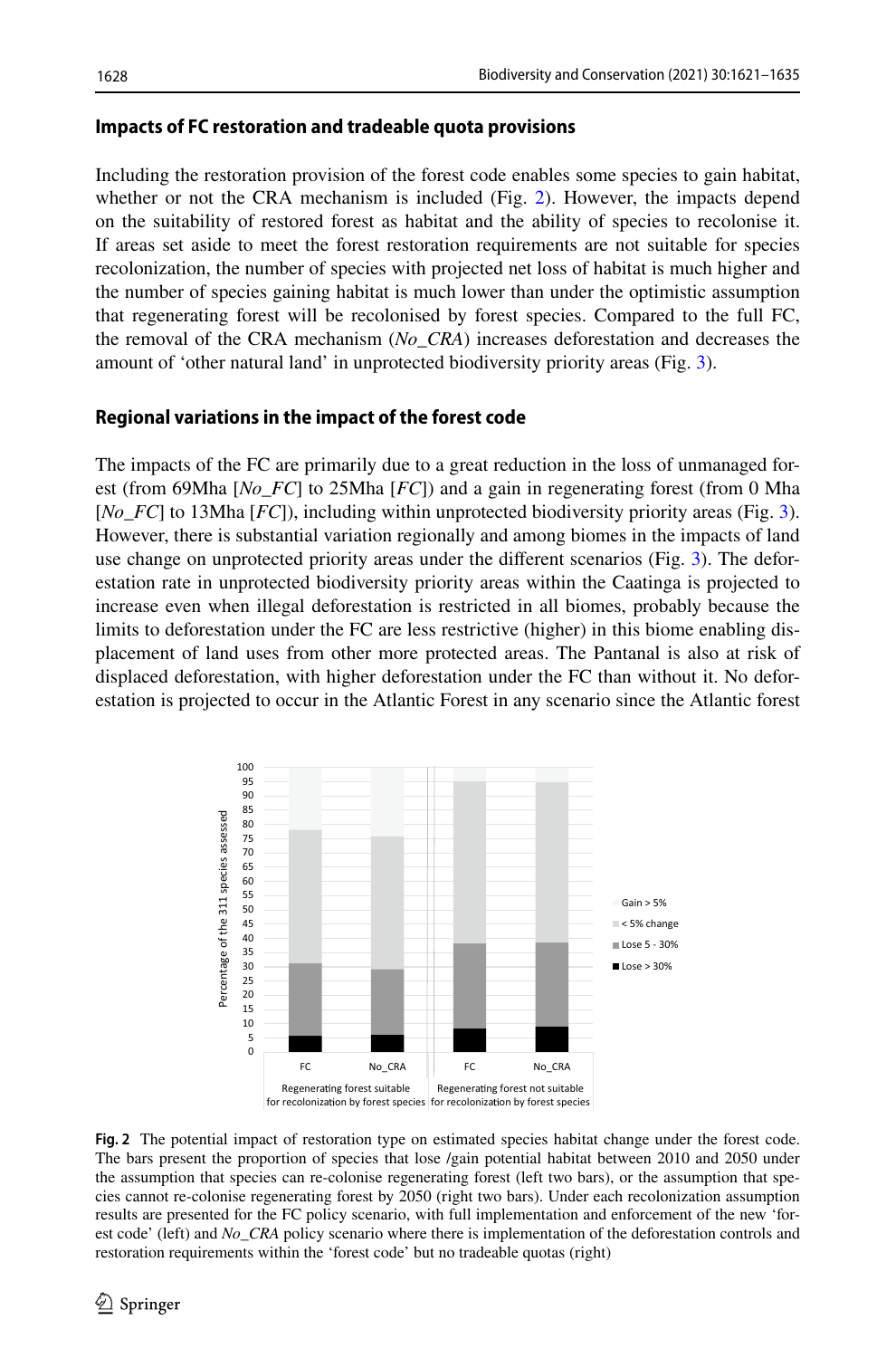## **Impacts of FC restoration and tradeable quota provisions**

Including the restoration provision of the forest code enables some species to gain habitat, whether or not the CRA mechanism is included (Fig. [2](#page-7-0)). However, the impacts depend on the suitability of restored forest as habitat and the ability of species to recolonise it. If areas set aside to meet the forest restoration requirements are not suitable for species recolonization, the number of species with projected net loss of habitat is much higher and the number of species gaining habitat is much lower than under the optimistic assumption that regenerating forest will be recolonised by forest species. Compared to the full FC, the removal of the CRA mechanism (*No\_CRA*) increases deforestation and decreases the amount of 'other natural land' in unprotected biodiversity priority areas (Fig. [3](#page-8-0)).

# **Regional variations in the impact of the forest code**

The impacts of the FC are primarily due to a great reduction in the loss of unmanaged forest (from 69Mha [*No\_FC*] to 25Mha [*FC*]) and a gain in regenerating forest (from 0 Mha [*No\_FC*] to 13Mha [*FC*]), including within unprotected biodiversity priority areas (Fig. [3](#page-8-0)). However, there is substantial variation regionally and among biomes in the impacts of land use change on unprotected priority areas under the diferent scenarios (Fig. [3\)](#page-8-0). The deforestation rate in unprotected biodiversity priority areas within the Caatinga is projected to increase even when illegal deforestation is restricted in all biomes, probably because the limits to deforestation under the FC are less restrictive (higher) in this biome enabling displacement of land uses from other more protected areas. The Pantanal is also at risk of displaced deforestation, with higher deforestation under the FC than without it. No deforestation is projected to occur in the Atlantic Forest in any scenario since the Atlantic forest



<span id="page-7-0"></span>**Fig. 2** The potential impact of restoration type on estimated species habitat change under the forest code. The bars present the proportion of species that lose /gain potential habitat between 2010 and 2050 under the assumption that species can re-colonise regenerating forest (left two bars), or the assumption that species cannot re-colonise regenerating forest by 2050 (right two bars). Under each recolonization assumption results are presented for the FC policy scenario, with full implementation and enforcement of the new 'forest code' (left) and *No\_CRA* policy scenario where there is implementation of the deforestation controls and restoration requirements within the 'forest code' but no tradeable quotas (right)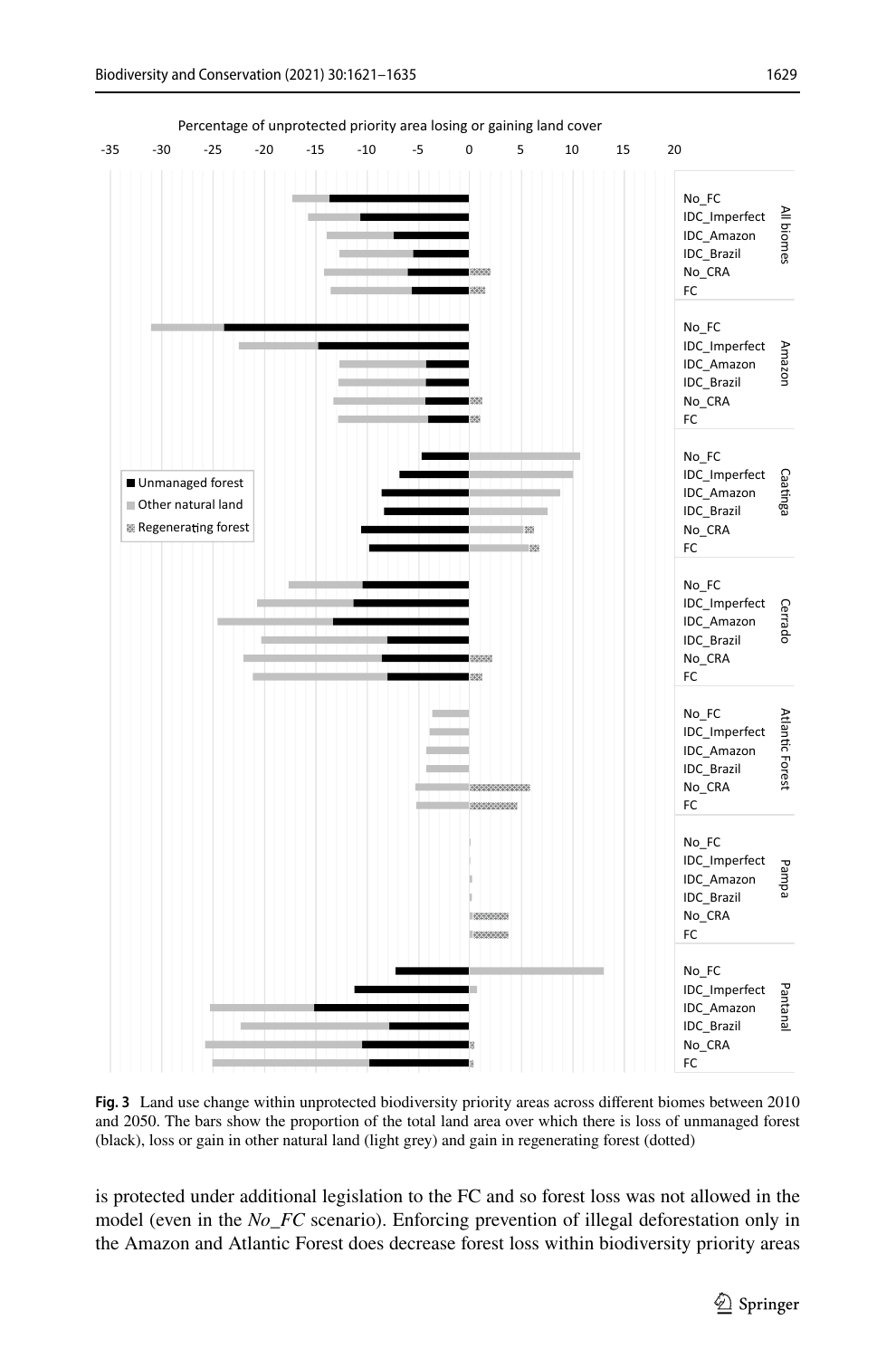

Percentage of unprotected priority area losing or gaining land cover

<span id="page-8-0"></span>**Fig. 3** Land use change within unprotected biodiversity priority areas across diferent biomes between 2010 and 2050. The bars show the proportion of the total land area over which there is loss of unmanaged forest (black), loss or gain in other natural land (light grey) and gain in regenerating forest (dotted)

is protected under additional legislation to the FC and so forest loss was not allowed in the model (even in the *No\_FC* scenario). Enforcing prevention of illegal deforestation only in the Amazon and Atlantic Forest does decrease forest loss within biodiversity priority areas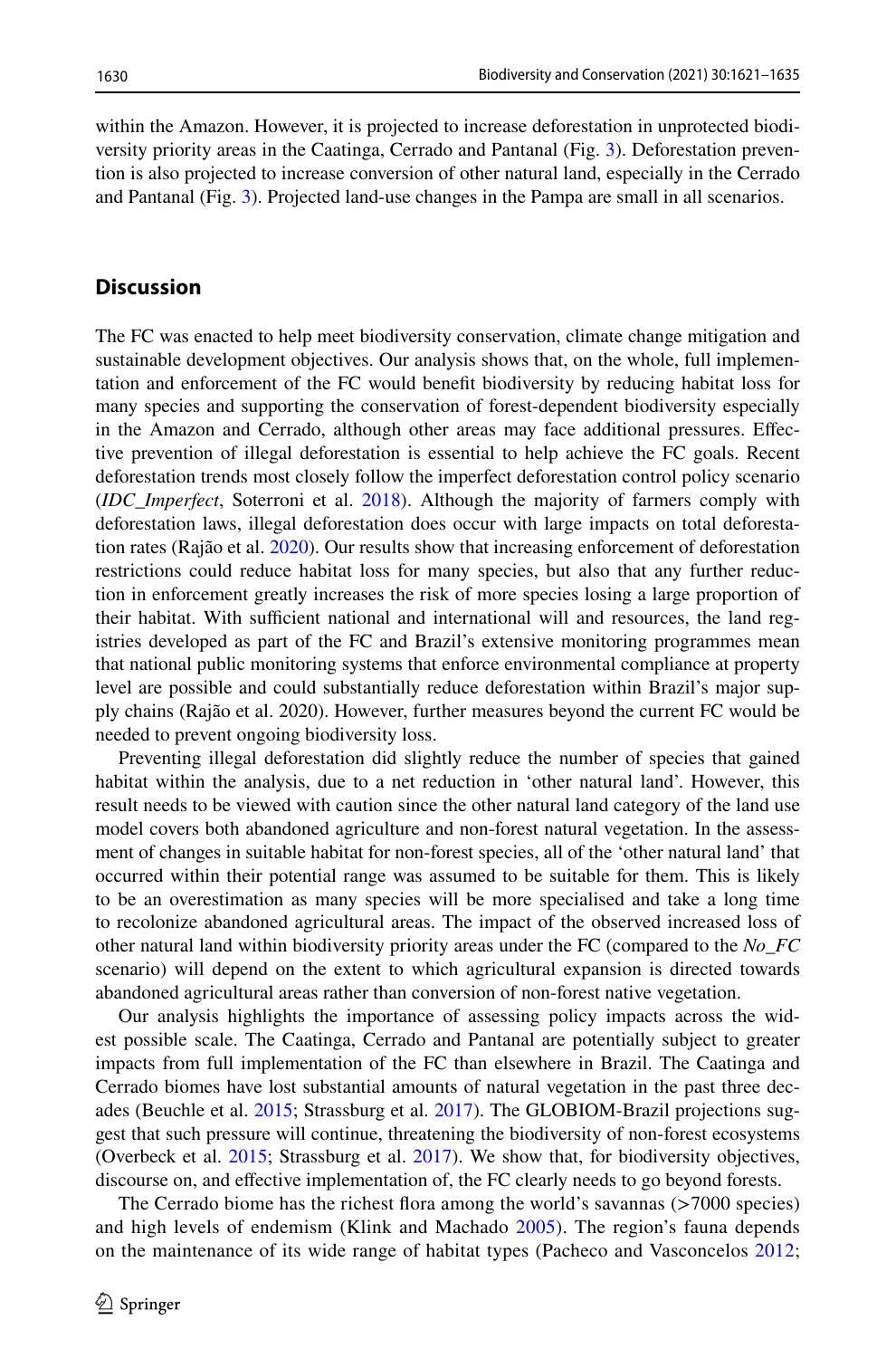within the Amazon. However, it is projected to increase deforestation in unprotected biodiversity priority areas in the Caatinga, Cerrado and Pantanal (Fig. [3\)](#page-8-0). Deforestation prevention is also projected to increase conversion of other natural land, especially in the Cerrado and Pantanal (Fig. [3](#page-8-0)). Projected land-use changes in the Pampa are small in all scenarios.

# **Discussion**

The FC was enacted to help meet biodiversity conservation, climate change mitigation and sustainable development objectives. Our analysis shows that, on the whole, full implementation and enforcement of the FC would beneft biodiversity by reducing habitat loss for many species and supporting the conservation of forest-dependent biodiversity especially in the Amazon and Cerrado, although other areas may face additional pressures. Efective prevention of illegal deforestation is essential to help achieve the FC goals. Recent deforestation trends most closely follow the imperfect deforestation control policy scenario (*IDC\_Imperfect*, Soterroni et al. [2018\)](#page-13-9). Although the majority of farmers comply with deforestation laws, illegal deforestation does occur with large impacts on total deforestation rates (Rajão et al. [2020](#page-13-4)). Our results show that increasing enforcement of deforestation restrictions could reduce habitat loss for many species, but also that any further reduction in enforcement greatly increases the risk of more species losing a large proportion of their habitat. With sufficient national and international will and resources, the land registries developed as part of the FC and Brazil's extensive monitoring programmes mean that national public monitoring systems that enforce environmental compliance at property level are possible and could substantially reduce deforestation within Brazil's major supply chains (Rajão et al. 2020). However, further measures beyond the current FC would be needed to prevent ongoing biodiversity loss.

Preventing illegal deforestation did slightly reduce the number of species that gained habitat within the analysis, due to a net reduction in 'other natural land'. However, this result needs to be viewed with caution since the other natural land category of the land use model covers both abandoned agriculture and non-forest natural vegetation. In the assessment of changes in suitable habitat for non-forest species, all of the 'other natural land' that occurred within their potential range was assumed to be suitable for them. This is likely to be an overestimation as many species will be more specialised and take a long time to recolonize abandoned agricultural areas. The impact of the observed increased loss of other natural land within biodiversity priority areas under the FC (compared to the *No\_FC* scenario) will depend on the extent to which agricultural expansion is directed towards abandoned agricultural areas rather than conversion of non-forest native vegetation.

Our analysis highlights the importance of assessing policy impacts across the widest possible scale. The Caatinga, Cerrado and Pantanal are potentially subject to greater impacts from full implementation of the FC than elsewhere in Brazil. The Caatinga and Cerrado biomes have lost substantial amounts of natural vegetation in the past three decades (Beuchle et al. [2015;](#page-12-11) Strassburg et al. [2017](#page-13-12)). The GLOBIOM-Brazil projections suggest that such pressure will continue, threatening the biodiversity of non-forest ecosystems (Overbeck et al. [2015](#page-13-15); Strassburg et al. [2017\)](#page-13-12). We show that, for biodiversity objectives, discourse on, and efective implementation of, the FC clearly needs to go beyond forests.

The Cerrado biome has the richest fora among the world's savannas (>7000 species) and high levels of endemism (Klink and Machado [2005\)](#page-12-12). The region's fauna depends on the maintenance of its wide range of habitat types (Pacheco and Vasconcelos [2012;](#page-13-22)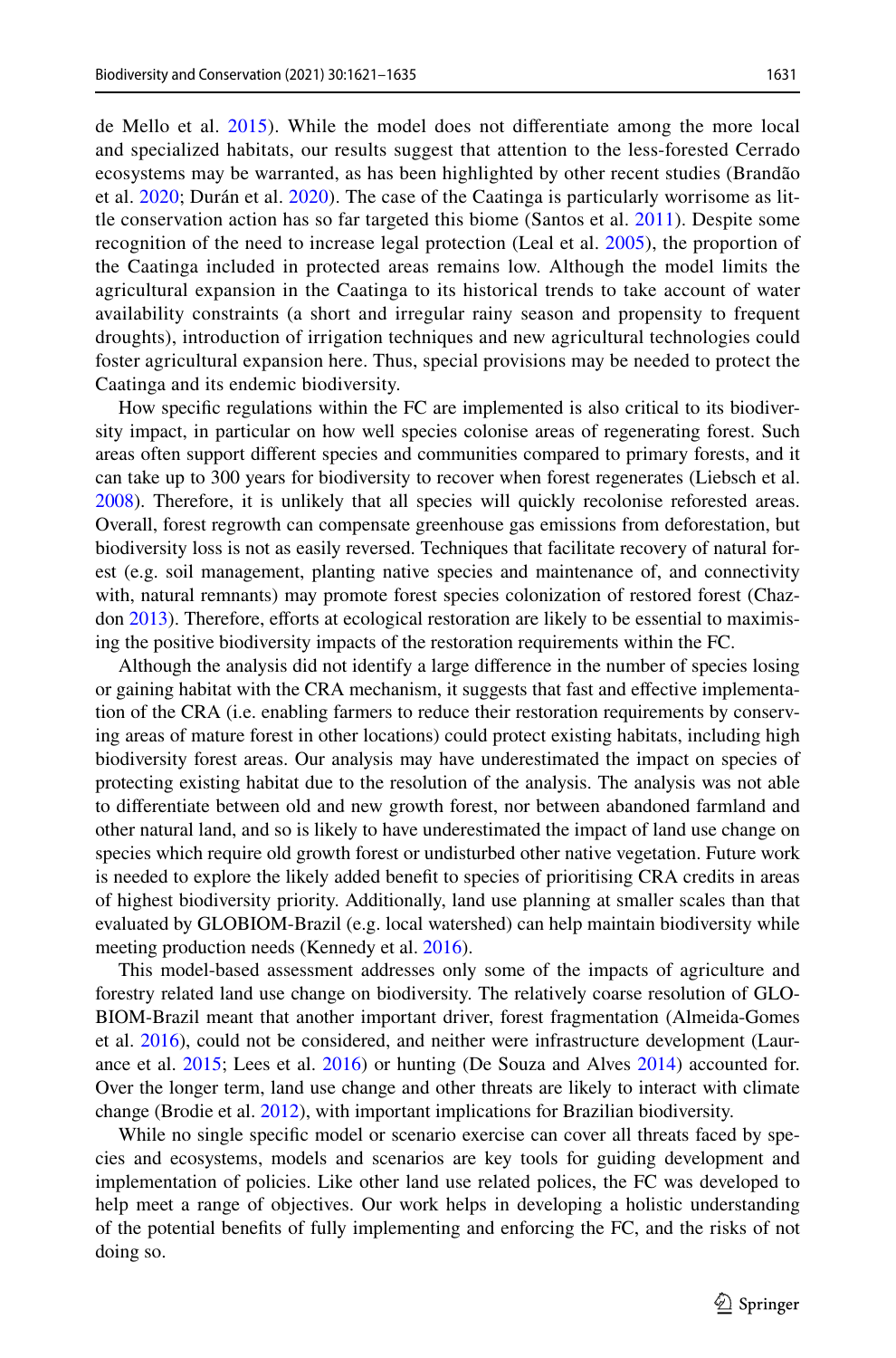de Mello et al. [2015](#page-12-0)). While the model does not diferentiate among the more local and specialized habitats, our results suggest that attention to the less-forested Cerrado ecosystems may be warranted, as has been highlighted by other recent studies (Brandão et al. [2020;](#page-12-5) Durán et al. [2020](#page-12-13)). The case of the Caatinga is particularly worrisome as little conservation action has so far targeted this biome (Santos et al. [2011](#page-13-14)). Despite some recognition of the need to increase legal protection (Leal et al. [2005\)](#page-12-14), the proportion of the Caatinga included in protected areas remains low. Although the model limits the agricultural expansion in the Caatinga to its historical trends to take account of water availability constraints (a short and irregular rainy season and propensity to frequent droughts), introduction of irrigation techniques and new agricultural technologies could foster agricultural expansion here. Thus, special provisions may be needed to protect the Caatinga and its endemic biodiversity.

How specifc regulations within the FC are implemented is also critical to its biodiversity impact, in particular on how well species colonise areas of regenerating forest. Such areas often support diferent species and communities compared to primary forests, and it can take up to 300 years for biodiversity to recover when forest regenerates (Liebsch et al. [2008\)](#page-12-15). Therefore, it is unlikely that all species will quickly recolonise reforested areas. Overall, forest regrowth can compensate greenhouse gas emissions from deforestation, but biodiversity loss is not as easily reversed. Techniques that facilitate recovery of natural forest (e.g. soil management, planting native species and maintenance of, and connectivity with, natural remnants) may promote forest species colonization of restored forest (Chaz-don [2013](#page-12-16)). Therefore, efforts at ecological restoration are likely to be essential to maximising the positive biodiversity impacts of the restoration requirements within the FC.

Although the analysis did not identify a large diference in the number of species losing or gaining habitat with the CRA mechanism, it suggests that fast and efective implementation of the CRA (i.e. enabling farmers to reduce their restoration requirements by conserving areas of mature forest in other locations) could protect existing habitats, including high biodiversity forest areas. Our analysis may have underestimated the impact on species of protecting existing habitat due to the resolution of the analysis. The analysis was not able to diferentiate between old and new growth forest, nor between abandoned farmland and other natural land, and so is likely to have underestimated the impact of land use change on species which require old growth forest or undisturbed other native vegetation. Future work is needed to explore the likely added beneft to species of prioritising CRA credits in areas of highest biodiversity priority. Additionally, land use planning at smaller scales than that evaluated by GLOBIOM-Brazil (e.g. local watershed) can help maintain biodiversity while meeting production needs (Kennedy et al. [2016\)](#page-12-17).

This model-based assessment addresses only some of the impacts of agriculture and forestry related land use change on biodiversity. The relatively coarse resolution of GLO-BIOM-Brazil meant that another important driver, forest fragmentation (Almeida-Gomes et al. [2016\)](#page-11-0), could not be considered, and neither were infrastructure development (Laurance et al. [2015;](#page-12-18) Lees et al. [2016](#page-12-19)) or hunting (De Souza and Alves [2014\)](#page-12-20) accounted for. Over the longer term, land use change and other threats are likely to interact with climate change (Brodie et al. [2012\)](#page-12-21), with important implications for Brazilian biodiversity.

While no single specifc model or scenario exercise can cover all threats faced by species and ecosystems, models and scenarios are key tools for guiding development and implementation of policies. Like other land use related polices, the FC was developed to help meet a range of objectives. Our work helps in developing a holistic understanding of the potential benefts of fully implementing and enforcing the FC, and the risks of not doing so.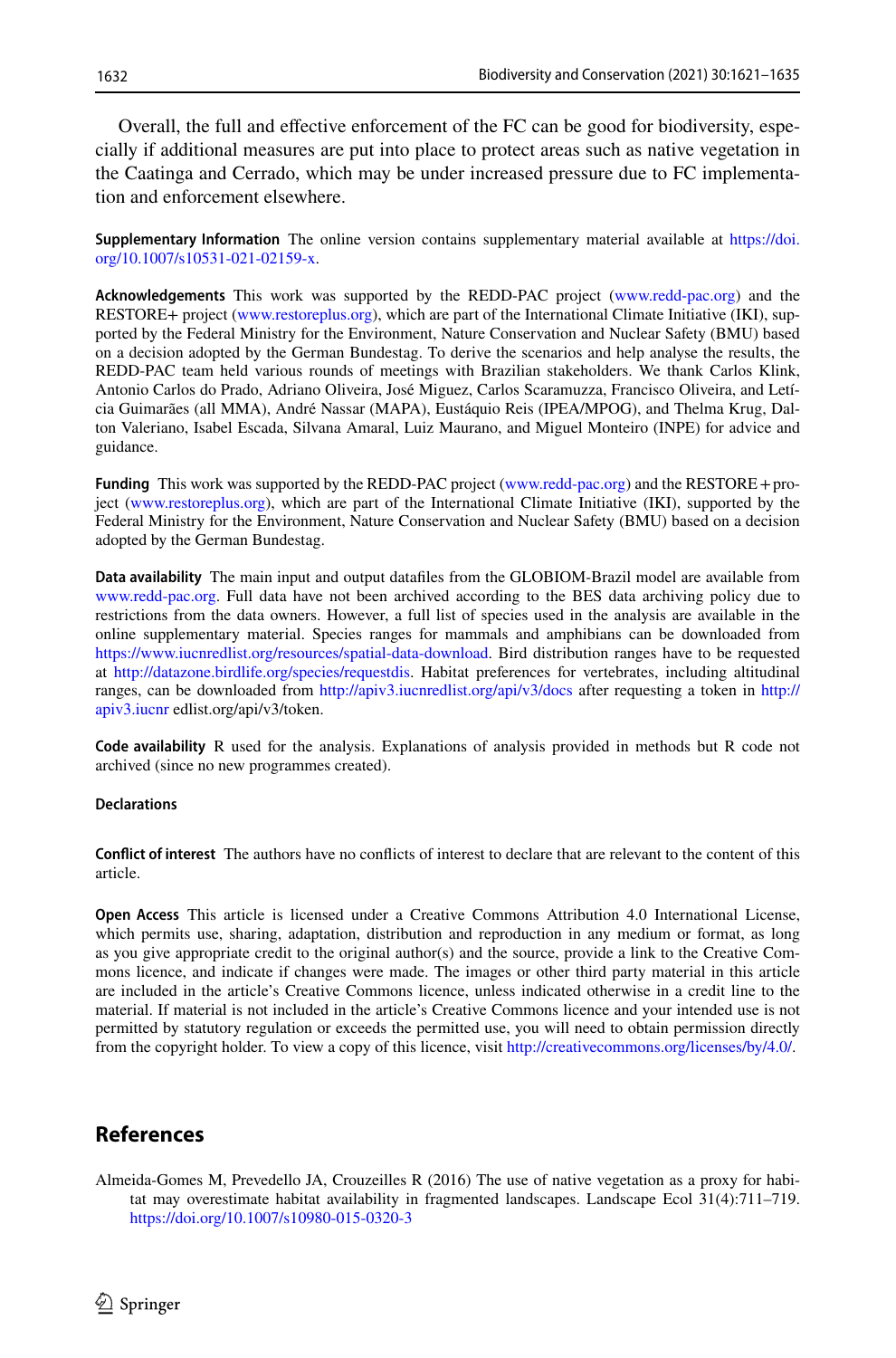Overall, the full and efective enforcement of the FC can be good for biodiversity, especially if additional measures are put into place to protect areas such as native vegetation in the Caatinga and Cerrado, which may be under increased pressure due to FC implementation and enforcement elsewhere.

**Supplementary Information** The online version contains supplementary material available at [https://doi.](https://doi.org/10.1007/s10531-021-02159-x) [org/10.1007/s10531-021-02159-x.](https://doi.org/10.1007/s10531-021-02159-x)

**Acknowledgements** This work was supported by the REDD-PAC project ([www.redd-pac.org\)](http://www.redd-pac.org) and the RESTORE+ project [\(www.restoreplus.org\)](http://www.restoreplus.org), which are part of the International Climate Initiative (IKI), supported by the Federal Ministry for the Environment, Nature Conservation and Nuclear Safety (BMU) based on a decision adopted by the German Bundestag. To derive the scenarios and help analyse the results, the REDD-PAC team held various rounds of meetings with Brazilian stakeholders. We thank Carlos Klink, Antonio Carlos do Prado, Adriano Oliveira, José Miguez, Carlos Scaramuzza, Francisco Oliveira, and Letícia Guimarães (all MMA), André Nassar (MAPA), Eustáquio Reis (IPEA/MPOG), and Thelma Krug, Dalton Valeriano, Isabel Escada, Silvana Amaral, Luiz Maurano, and Miguel Monteiro (INPE) for advice and guidance.

**Funding** This work was supported by the REDD-PAC project ([www.redd-pac.org](http://www.redd-pac.org)) and the RESTORE+project [\(www.restoreplus.org](http://www.restoreplus.org)), which are part of the International Climate Initiative (IKI), supported by the Federal Ministry for the Environment, Nature Conservation and Nuclear Safety (BMU) based on a decision adopted by the German Bundestag.

**Data availability** The main input and output datafles from the GLOBIOM-Brazil model are available from [www.redd-pac.org](http://www.redd-pac.org). Full data have not been archived according to the BES data archiving policy due to restrictions from the data owners. However, a full list of species used in the analysis are available in the online supplementary material. Species ranges for mammals and amphibians can be downloaded from [https://www.iucnredlist.org/resources/spatial-data-download.](https://www.iucnredlist.org/resources/spatial-data-download) Bird distribution ranges have to be requested at <http://datazone.birdlife.org/species/requestdis>. Habitat preferences for vertebrates, including altitudinal ranges, can be downloaded from <http://apiv3.iucnredlist.org/api/v3/docs> after requesting a token in [http://](http://apiv3.iucnr) [apiv3.iucnr](http://apiv3.iucnr) edlist.org/api/v3/token.

**Code availability** R used for the analysis. Explanations of analysis provided in methods but R code not archived (since no new programmes created).

#### **Declarations**

**Confict of interest** The authors have no conficts of interest to declare that are relevant to the content of this article.

**Open Access** This article is licensed under a Creative Commons Attribution 4.0 International License, which permits use, sharing, adaptation, distribution and reproduction in any medium or format, as long as you give appropriate credit to the original author(s) and the source, provide a link to the Creative Commons licence, and indicate if changes were made. The images or other third party material in this article are included in the article's Creative Commons licence, unless indicated otherwise in a credit line to the material. If material is not included in the article's Creative Commons licence and your intended use is not permitted by statutory regulation or exceeds the permitted use, you will need to obtain permission directly from the copyright holder. To view a copy of this licence, visit [http://creativecommons.org/licenses/by/4.0/.](http://creativecommons.org/licenses/by/4.0/)

# **References**

<span id="page-11-0"></span>Almeida-Gomes M, Prevedello JA, Crouzeilles R (2016) The use of native vegetation as a proxy for habitat may overestimate habitat availability in fragmented landscapes. Landscape Ecol 31(4):711–719. <https://doi.org/10.1007/s10980-015-0320-3>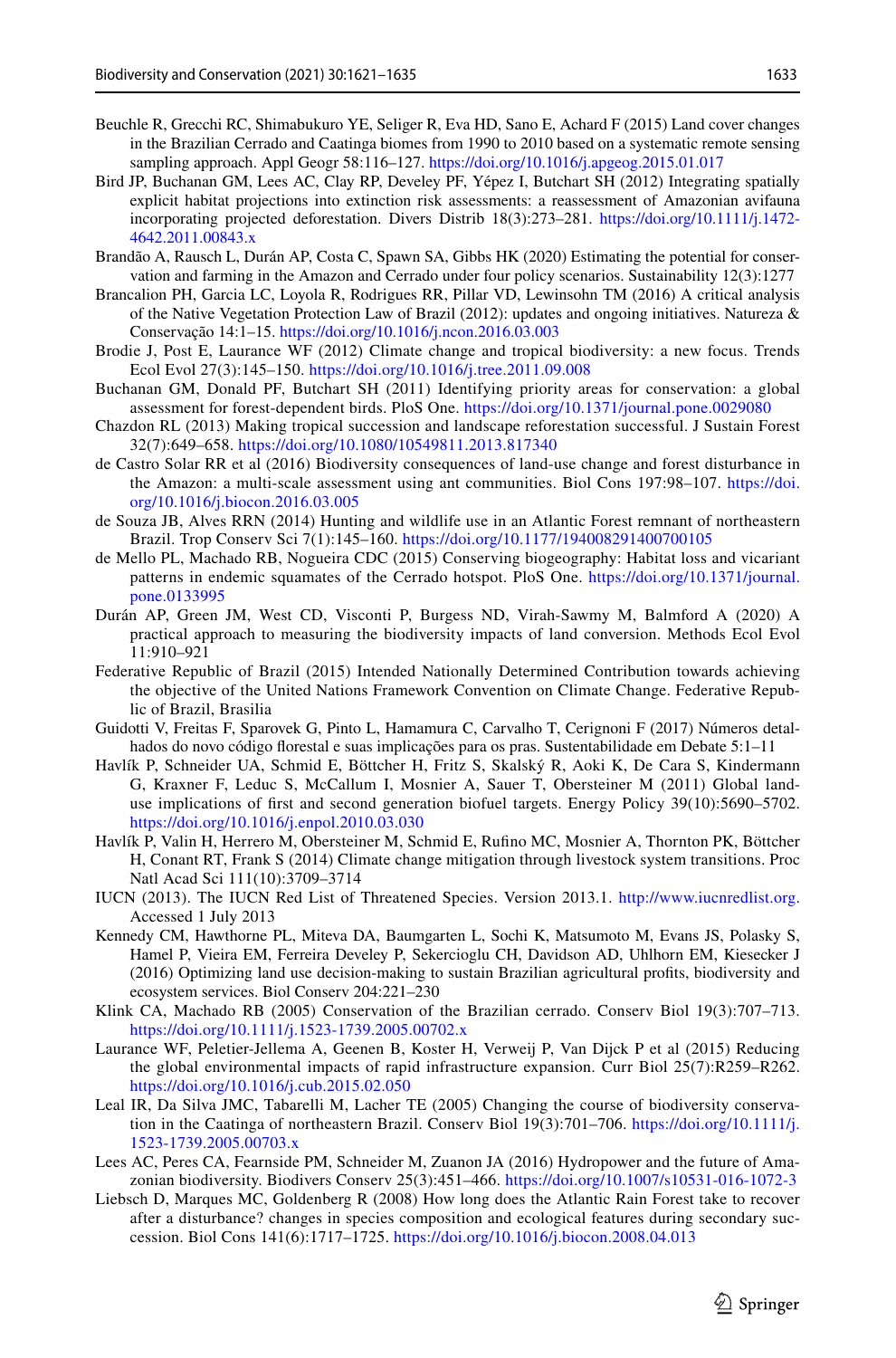- <span id="page-12-11"></span>Beuchle R, Grecchi RC, Shimabukuro YE, Seliger R, Eva HD, Sano E, Achard F (2015) Land cover changes in the Brazilian Cerrado and Caatinga biomes from 1990 to 2010 based on a systematic remote sensing sampling approach. Appl Geogr 58:116–127. <https://doi.org/10.1016/j.apgeog.2015.01.017>
- <span id="page-12-4"></span>Bird JP, Buchanan GM, Lees AC, Clay RP, Develey PF, Yépez I, Butchart SH (2012) Integrating spatially explicit habitat projections into extinction risk assessments: a reassessment of Amazonian avifauna incorporating projected deforestation. Divers Distrib 18(3):273–281. [https://doi.org/10.1111/j.1472-](https://doi.org/10.1111/j.1472-4642.2011.00843.x) [4642.2011.00843.x](https://doi.org/10.1111/j.1472-4642.2011.00843.x)
- <span id="page-12-5"></span>Brandão A, Rausch L, Durán AP, Costa C, Spawn SA, Gibbs HK (2020) Estimating the potential for conservation and farming in the Amazon and Cerrado under four policy scenarios. Sustainability 12(3):1277
- <span id="page-12-3"></span>Brancalion PH, Garcia LC, Loyola R, Rodrigues RR, Pillar VD, Lewinsohn TM (2016) A critical analysis of the Native Vegetation Protection Law of Brazil (2012): updates and ongoing initiatives. Natureza & Conservação 14:1–15.<https://doi.org/10.1016/j.ncon.2016.03.003>
- <span id="page-12-21"></span>Brodie J, Post E, Laurance WF (2012) Climate change and tropical biodiversity: a new focus. Trends Ecol Evol 27(3):145–150. <https://doi.org/10.1016/j.tree.2011.09.008>
- <span id="page-12-10"></span>Buchanan GM, Donald PF, Butchart SH (2011) Identifying priority areas for conservation: a global assessment for forest-dependent birds. PloS One. <https://doi.org/10.1371/journal.pone.0029080>
- <span id="page-12-16"></span>Chazdon RL (2013) Making tropical succession and landscape reforestation successful. J Sustain Forest 32(7):649–658. <https://doi.org/10.1080/10549811.2013.817340>
- <span id="page-12-1"></span>de Castro Solar RR et al (2016) Biodiversity consequences of land-use change and forest disturbance in the Amazon: a multi-scale assessment using ant communities. Biol Cons 197:98–107. [https://doi.](https://doi.org/10.1016/j.biocon.2016.03.005) [org/10.1016/j.biocon.2016.03.005](https://doi.org/10.1016/j.biocon.2016.03.005)
- <span id="page-12-20"></span>de Souza JB, Alves RRN (2014) Hunting and wildlife use in an Atlantic Forest remnant of northeastern Brazil. Trop Conserv Sci 7(1):145–160. <https://doi.org/10.1177/194008291400700105>
- <span id="page-12-0"></span>de Mello PL, Machado RB, Nogueira CDC (2015) Conserving biogeography: Habitat loss and vicariant patterns in endemic squamates of the Cerrado hotspot. PloS One. [https://doi.org/10.1371/journal.](https://doi.org/10.1371/journal.pone.0133995) [pone.0133995](https://doi.org/10.1371/journal.pone.0133995)
- <span id="page-12-13"></span>Durán AP, Green JM, West CD, Visconti P, Burgess ND, Virah-Sawmy M, Balmford A (2020) A practical approach to measuring the biodiversity impacts of land conversion. Methods Ecol Evol 11:910–921
- <span id="page-12-2"></span>Federative Republic of Brazil (2015) Intended Nationally Determined Contribution towards achieving the objective of the United Nations Framework Convention on Climate Change. Federative Republic of Brazil, Brasilia
- <span id="page-12-8"></span>Guidotti V, Freitas F, Sparovek G, Pinto L, Hamamura C, Carvalho T, Cerignoni F (2017) Números detalhados do novo código forestal e suas implicações para os pras. Sustentabilidade em Debate 5:1–11
- <span id="page-12-6"></span>Havlík P, Schneider UA, Schmid E, Böttcher H, Fritz S, Skalský R, Aoki K, De Cara S, Kindermann G, Kraxner F, Leduc S, McCallum I, Mosnier A, Sauer T, Obersteiner M (2011) Global landuse implications of frst and second generation biofuel targets. Energy Policy 39(10):5690–5702. <https://doi.org/10.1016/j.enpol.2010.03.030>
- <span id="page-12-7"></span>Havlík P, Valin H, Herrero M, Obersteiner M, Schmid E, Rufno MC, Mosnier A, Thornton PK, Böttcher H, Conant RT, Frank S (2014) Climate change mitigation through livestock system transitions. Proc Natl Acad Sci 111(10):3709–3714
- <span id="page-12-9"></span>IUCN (2013). The IUCN Red List of Threatened Species. Version 2013.1. [http://www.iucnredlist.org.](http://www.iucnredlist.org) Accessed 1 July 2013
- <span id="page-12-17"></span>Kennedy CM, Hawthorne PL, Miteva DA, Baumgarten L, Sochi K, Matsumoto M, Evans JS, Polasky S, Hamel P, Vieira EM, Ferreira Develey P, Sekercioglu CH, Davidson AD, Uhlhorn EM, Kiesecker J (2016) Optimizing land use decision-making to sustain Brazilian agricultural profts, biodiversity and ecosystem services. Biol Conserv 204:221–230
- <span id="page-12-12"></span>Klink CA, Machado RB (2005) Conservation of the Brazilian cerrado. Conserv Biol 19(3):707–713. <https://doi.org/10.1111/j.1523-1739.2005.00702.x>
- <span id="page-12-18"></span>Laurance WF, Peletier-Jellema A, Geenen B, Koster H, Verweij P, Van Dijck P et al (2015) Reducing the global environmental impacts of rapid infrastructure expansion. Curr Biol 25(7):R259–R262. <https://doi.org/10.1016/j.cub.2015.02.050>
- <span id="page-12-14"></span>Leal IR, Da Silva JMC, Tabarelli M, Lacher TE (2005) Changing the course of biodiversity conservation in the Caatinga of northeastern Brazil. Conserv Biol 19(3):701–706. [https://doi.org/10.1111/j.](https://doi.org/10.1111/j.1523-1739.2005.00703.x) [1523-1739.2005.00703.x](https://doi.org/10.1111/j.1523-1739.2005.00703.x)
- <span id="page-12-19"></span>Lees AC, Peres CA, Fearnside PM, Schneider M, Zuanon JA (2016) Hydropower and the future of Amazonian biodiversity. Biodivers Conserv 25(3):451–466. <https://doi.org/10.1007/s10531-016-1072-3>
- <span id="page-12-15"></span>Liebsch D, Marques MC, Goldenberg R (2008) How long does the Atlantic Rain Forest take to recover after a disturbance? changes in species composition and ecological features during secondary succession. Biol Cons 141(6):1717–1725.<https://doi.org/10.1016/j.biocon.2008.04.013>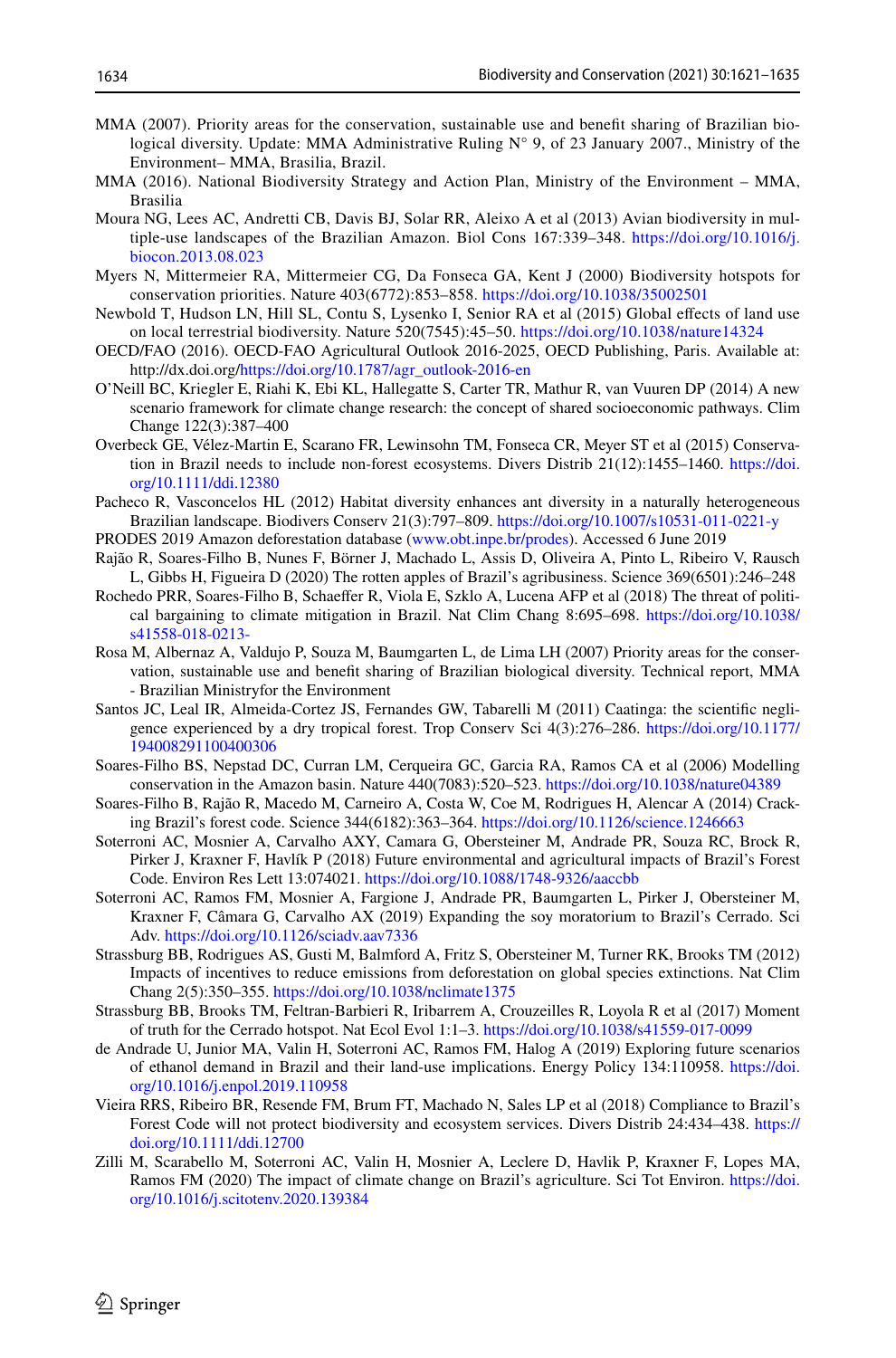- <span id="page-13-20"></span>MMA (2007). Priority areas for the conservation, sustainable use and beneft sharing of Brazilian biological diversity. Update: MMA Administrative Ruling N° 9, of 23 January 2007., Ministry of the Environment– MMA, Brasilia, Brazil.
- <span id="page-13-5"></span>MMA (2016). National Biodiversity Strategy and Action Plan, Ministry of the Environment – MMA, Brasilia
- <span id="page-13-1"></span>Moura NG, Lees AC, Andretti CB, Davis BJ, Solar RR, Aleixo A et al (2013) Avian biodiversity in multiple-use landscapes of the Brazilian Amazon. Biol Cons 167:339–348. [https://doi.org/10.1016/j.](https://doi.org/10.1016/j.biocon.2013.08.023) [biocon.2013.08.023](https://doi.org/10.1016/j.biocon.2013.08.023)
- <span id="page-13-0"></span>Myers N, Mittermeier RA, Mittermeier CG, Da Fonseca GA, Kent J (2000) Biodiversity hotspots for conservation priorities. Nature 403(6772):853–858. <https://doi.org/10.1038/35002501>
- <span id="page-13-2"></span>Newbold T, Hudson LN, Hill SL, Contu S, Lysenko I, Senior RA et al (2015) Global efects of land use on local terrestrial biodiversity. Nature 520(7545):45–50.<https://doi.org/10.1038/nature14324>
- <span id="page-13-6"></span>OECD/FAO (2016). OECD-FAO Agricultural Outlook 2016-2025, OECD Publishing, Paris. Available at: http://dx.doi.org/[https://doi.org/10.1787/agr\\_outlook-2016-en](https://doi.org/10.1787/agr_outlook-2016-en)
- <span id="page-13-17"></span>O'Neill BC, Kriegler E, Riahi K, Ebi KL, Hallegatte S, Carter TR, Mathur R, van Vuuren DP (2014) A new scenario framework for climate change research: the concept of shared socioeconomic pathways. Clim Change 122(3):387–400
- <span id="page-13-15"></span>Overbeck GE, Vélez-Martin E, Scarano FR, Lewinsohn TM, Fonseca CR, Meyer ST et al (2015) Conservation in Brazil needs to include non-forest ecosystems. Divers Distrib 21(12):1455–1460. [https://doi.](https://doi.org/10.1111/ddi.12380) [org/10.1111/ddi.12380](https://doi.org/10.1111/ddi.12380)
- <span id="page-13-22"></span>Pacheco R, Vasconcelos HL (2012) Habitat diversity enhances ant diversity in a naturally heterogeneous Brazilian landscape. Biodivers Conserv 21(3):797–809. <https://doi.org/10.1007/s10531-011-0221-y>
- <span id="page-13-3"></span>PRODES 2019 Amazon deforestation database [\(www.obt.inpe.br/prodes](http://www.obt.inpe.br/prodes)). Accessed 6 June 2019
- <span id="page-13-4"></span>Rajão R, Soares-Filho B, Nunes F, Börner J, Machado L, Assis D, Oliveira A, Pinto L, Ribeiro V, Rausch L, Gibbs H, Figueira D (2020) The rotten apples of Brazil's agribusiness. Science 369(6501):246–248
- <span id="page-13-7"></span>Rochedo PRR, Soares-Filho B, Schaeffer R, Viola E, Szklo A, Lucena AFP et al (2018) The threat of political bargaining to climate mitigation in Brazil. Nat Clim Chang 8:695–698. [https://doi.org/10.1038/](https://doi.org/10.1038/s41558-018-0213-) [s41558-018-0213-](https://doi.org/10.1038/s41558-018-0213-)
- <span id="page-13-21"></span>Rosa M, Albernaz A, Valdujo P, Souza M, Baumgarten L, de Lima LH (2007) Priority areas for the conservation, sustainable use and beneft sharing of Brazilian biological diversity. Technical report, MMA - Brazilian Ministryfor the Environment
- <span id="page-13-14"></span>Santos JC, Leal IR, Almeida-Cortez JS, Fernandes GW, Tabarelli M (2011) Caatinga: the scientifc negligence experienced by a dry tropical forest. Trop Conserv Sci 4(3):276–286. [https://doi.org/10.1177/](https://doi.org/10.1177/194008291100400306) [194008291100400306](https://doi.org/10.1177/194008291100400306)
- <span id="page-13-10"></span>Soares-Filho BS, Nepstad DC, Curran LM, Cerqueira GC, Garcia RA, Ramos CA et al (2006) Modelling conservation in the Amazon basin. Nature 440(7083):520–523. <https://doi.org/10.1038/nature04389>
- <span id="page-13-8"></span>Soares-Filho B, Rajão R, Macedo M, Carneiro A, Costa W, Coe M, Rodrigues H, Alencar A (2014) Cracking Brazil's forest code. Science 344(6182):363–364.<https://doi.org/10.1126/science.1246663>
- <span id="page-13-9"></span>Soterroni AC, Mosnier A, Carvalho AXY, Camara G, Obersteiner M, Andrade PR, Souza RC, Brock R, Pirker J, Kraxner F, Havlík P (2018) Future environmental and agricultural impacts of Brazil's Forest Code. Environ Res Lett 13:074021.<https://doi.org/10.1088/1748-9326/aaccbb>
- <span id="page-13-16"></span>Soterroni AC, Ramos FM, Mosnier A, Fargione J, Andrade PR, Baumgarten L, Pirker J, Obersteiner M, Kraxner F, Câmara G, Carvalho AX (2019) Expanding the soy moratorium to Brazil's Cerrado. Sci Adv. <https://doi.org/10.1126/sciadv.aav7336>
- <span id="page-13-11"></span>Strassburg BB, Rodrigues AS, Gusti M, Balmford A, Fritz S, Obersteiner M, Turner RK, Brooks TM (2012) Impacts of incentives to reduce emissions from deforestation on global species extinctions. Nat Clim Chang 2(5):350–355.<https://doi.org/10.1038/nclimate1375>
- <span id="page-13-12"></span>Strassburg BB, Brooks TM, Feltran-Barbieri R, Iribarrem A, Crouzeilles R, Loyola R et al (2017) Moment of truth for the Cerrado hotspot. Nat Ecol Evol 1:1–3.<https://doi.org/10.1038/s41559-017-0099>
- <span id="page-13-18"></span>de Andrade U, Junior MA, Valin H, Soterroni AC, Ramos FM, Halog A (2019) Exploring future scenarios of ethanol demand in Brazil and their land-use implications. Energy Policy 134:110958. [https://doi.](https://doi.org/10.1016/j.enpol.2019.110958) [org/10.1016/j.enpol.2019.110958](https://doi.org/10.1016/j.enpol.2019.110958)
- <span id="page-13-13"></span>Vieira RRS, Ribeiro BR, Resende FM, Brum FT, Machado N, Sales LP et al (2018) Compliance to Brazil's Forest Code will not protect biodiversity and ecosystem services. Divers Distrib 24:434–438. [https://](https://doi.org/10.1111/ddi.12700) [doi.org/10.1111/ddi.12700](https://doi.org/10.1111/ddi.12700)
- <span id="page-13-19"></span>Zilli M, Scarabello M, Soterroni AC, Valin H, Mosnier A, Leclere D, Havlik P, Kraxner F, Lopes MA, Ramos FM (2020) The impact of climate change on Brazil's agriculture. Sci Tot Environ. [https://doi.](https://doi.org/10.1016/j.scitotenv.2020.139384) [org/10.1016/j.scitotenv.2020.139384](https://doi.org/10.1016/j.scitotenv.2020.139384)